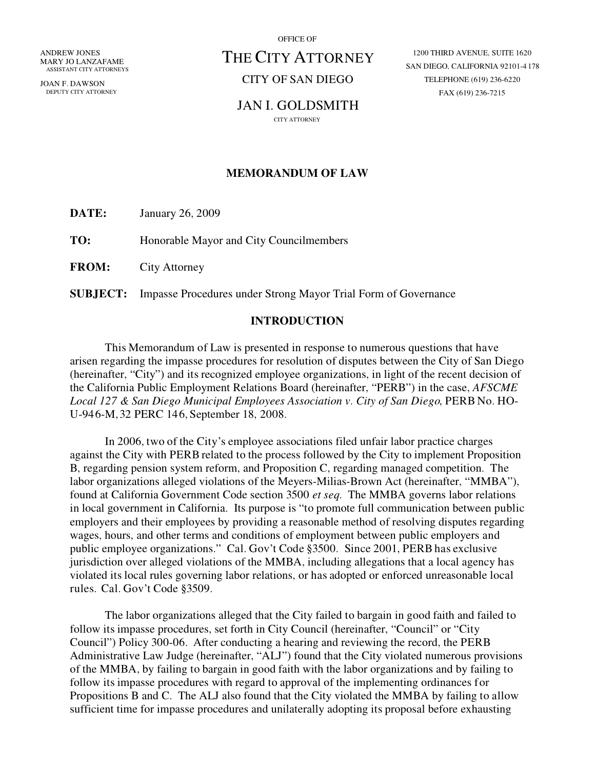ANDREW JONES MARY JO LANZAFAME ASSISTANT CITY ATTORNEYS

JOAN F. DAWSON DEPUTY CITY ATTORNEY OFFICE OF

# THE CITY ATTORNEY

CITY OF SAN DIEGO

## JAN I. GOLDSMITH

CITY ATTORNEY

1200 THIRD AVENUE, SUITE 1620 SAN DIEGO, CALIFORNIA 92101-4178 TELEPHONE (619) 236-6220 FAX (619) 236-7215

#### **MEMORANDUM OF LAW**

**DATE:** January 26, 2009

**TO:** Honorable Mayor and City Councilmembers

**FROM:** City Attorney

**SUBJECT:** Impasse Procedures under Strong Mayor Trial Form of Governance

#### **INTRODUCTION**

This Memorandum of Law is presented in response to numerous questions that have arisen regarding the impasse procedures for resolution of disputes between the City of San Diego (hereinafter, City) and its recognized employee organizations, in light of the recent decision of the California Public Employment Relations Board (hereinafter, "PERB") in the case, *AFSCME Local 127 & San Diego Municipal Employees Association v. City ofSan Diego*, PERB No. HO-U-946-M, 32 PERC 146, September 18, 2008.

In 2006, two of the City's employee associations filed unfair labor practice charges against the City with PERB related to the process followed by the City to implement Proposition B, regarding pension system reform, and Proposition C, regarding managed competition. The labor organizations alleged violations of the Meyers-Milias-Brown Act (hereinafter, "MMBA"), found at California Government Code section 3500 *et seq*. The MMBA governs labor relations in local government in California. Its purpose is "to promote full communication between public employers and their employees by providing a reasonable method of resolving disputes regarding wages, hours, and other terms and conditions of employment between public employers and public employee organizations." Cal. Gov't Code §3500. Since 2001, PERB has exclusive jurisdiction over alleged violations of the MMBA, including allegations that a local agency has violated its local rules governing labor relations, or has adopted or enforced unreasonable local rules. Cal. Gov't Code §3509.

The labor organizations alleged that the City failed to bargain in good faith and failed to follow its impasse procedures, set forth in City Council (hereinafter, "Council" or "City Council") Policy 300-06. After conducting a hearing and reviewing the record, the PERB Administrative Law Judge (hereinafter, "ALJ") found that the City violated numerous provisions of the MMBA, by failing to bargain in good faith with the labor organizations and by failing to follow its impasse procedures with regard to approval of the implementing ordinances for Propositions B and C. The ALJ also found that the City violated the MMBA by failing to allow sufficient time for impasse procedures and unilaterally adopting its proposal before exhausting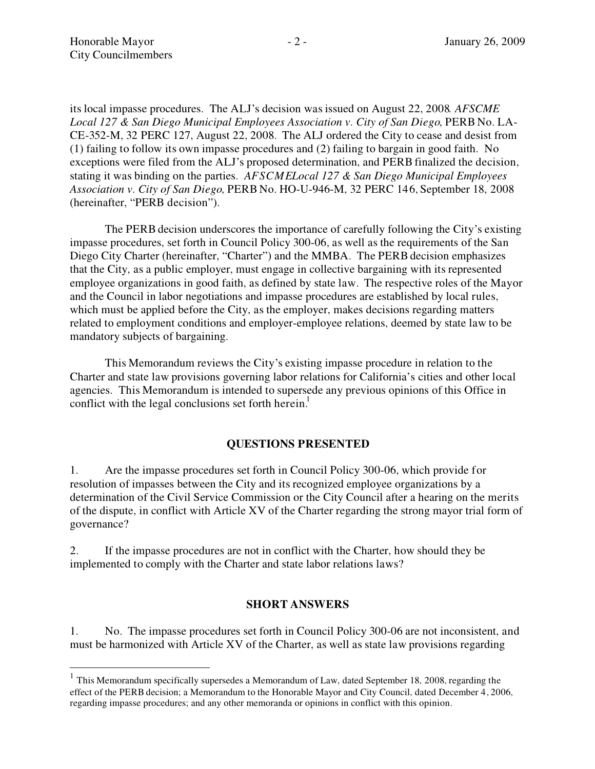its local impasse procedures. The ALJs decision was issued on August 22, 2008*. AFSCME Local 127 & San Diego Municipal Employees Association v. City ofSan Diego*, PERB No. LA-CE-352-M, 32 PERC 127, August 22, 2008. The ALJ ordered the City to cease and desist from (1) failing to follow its own impasse procedures and (2) failing to bargain in good faith. No exceptions were filed from the ALJ's proposed determination, and PERB finalized the decision, stating it was binding on the parties. *AFSCMELocal 127 & San Diego Municipal Employees Association v. City ofSan Diego*, PERB No. HO-U-946-M, 32 PERC 146, September 18, 2008 (hereinafter, "PERB decision").

The PERB decision underscores the importance of carefully following the City's existing impasse procedures, set forth in Council Policy 300-06, as well as the requirements of the San Diego City Charter (hereinafter, "Charter") and the MMBA. The PERB decision emphasizes that the City, as a public employer, must engage in collective bargaining with its represented employee organizations in good faith, as defined by state law. The respective roles of the Mayor and the Council in labor negotiations and impasse procedures are established by local rules, which must be applied before the City, as the employer, makes decisions regarding matters related to employment conditions and employer-employee relations, deemed by state law to be mandatory subjects of bargaining.

This Memorandum reviews the City's existing impasse procedure in relation to the Charter and state law provisions governing labor relations for California's cities and other local agencies. This Memorandum is intended to supersede any previous opinions of this Office in conflict with the legal conclusions set forth herein.<sup>1</sup>

#### **QUESTIONS PRESENTED**

1. Are the impasse procedures set forth in Council Policy 300-06, which provide for resolution of impasses between the City and its recognized employee organizations by a determination of the Civil Service Commission or the City Council after a hearing on the merits of the dispute, in conflict with Article XV of the Charter regarding the strong mayor trial form of governance?

2. If the impasse procedures are not in conflict with the Charter, how should they be implemented to comply with the Charter and state labor relations laws?

#### **SHORT ANSWERS**

1. No. The impasse procedures set forth in Council Policy 300-06 are not inconsistent, and must be harmonized with Article XV of the Charter, as well as state law provisions regarding

 $1$  This Memorandum specifically supersedes a Memorandum of Law, dated September 18, 2008, regarding the effect of the PERB decision; a Memorandum to the Honorable Mayor and City Council, dated December 4, 2006, regarding impasse procedures; and any other memoranda or opinions in conflict with this opinion.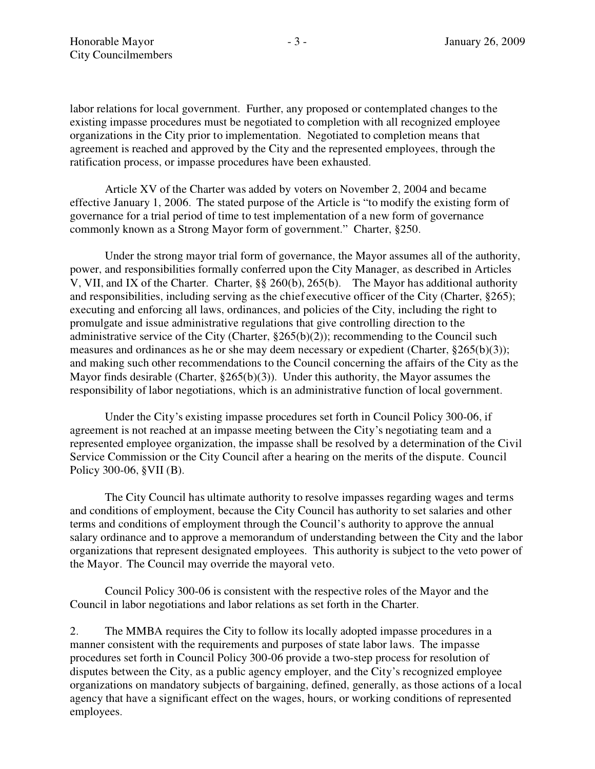labor relations for local government. Further, any proposed or contemplated changes to the existing impasse procedures must be negotiated to completion with all recognized employee organizations in the City prior to implementation. Negotiated to completion means that agreement is reached and approved by the City and the represented employees, through the ratification process, or impasse procedures have been exhausted.

Article XV of the Charter was added by voters on November 2, 2004 and became effective January 1, 2006. The stated purpose of the Article is "to modify the existing form of governance for a trial period of time to test implementation of a new form of governance commonly known as a Strong Mayor form of government." Charter, §250.

Under the strong mayor trial form of governance, the Mayor assumes all of the authority, power, and responsibilities formally conferred upon the City Manager, as described in Articles V, VII, and IX of the Charter. Charter, §§ 260(b), 265(b). The Mayor has additional authority and responsibilities, including serving as the chiefexecutive officer of the City (Charter, §265); executing and enforcing all laws, ordinances, and policies of the City, including the right to promulgate and issue administrative regulations that give controlling direction to the administrative service of the City (Charter,  $\S265(b)(2)$ ); recommending to the Council such measures and ordinances as he or she may deem necessary or expedient (Charter, §265(b)(3)); and making such other recommendations to the Council concerning the affairs of the City as the Mayor finds desirable (Charter, §265(b)(3)). Under this authority, the Mayor assumes the responsibility of labor negotiations, which is an administrative function of local government.

Under the City's existing impasse procedures set forth in Council Policy 300-06, if agreement is not reached at an impasse meeting between the City's negotiating team and a represented employee organization, the impasse shall be resolved by a determination of the Civil Service Commission or the City Council after a hearing on the merits of the dispute. Council Policy 300-06, §VII (B).

The City Council has ultimate authority to resolve impasses regarding wages and terms and conditions of employment, because the City Council has authority to set salaries and other terms and conditions of employment through the Council's authority to approve the annual salary ordinance and to approve a memorandum of understanding between the City and the labor organizations that represent designated employees. This authority is subject to the veto power of the Mayor. The Council may override the mayoral veto.

Council Policy 300-06 is consistent with the respective roles of the Mayor and the Council in labor negotiations and labor relations as set forth in the Charter.

2. The MMBA requires the City to follow its locally adopted impasse procedures in a manner consistent with the requirements and purposes of state labor laws. The impasse procedures set forth in Council Policy 300-06 provide a two-step process for resolution of disputes between the City, as a public agency employer, and the City's recognized employee organizations on mandatory subjects of bargaining, defined, generally, as those actions of a local agency that have a significant effect on the wages, hours, or working conditions of represented employees.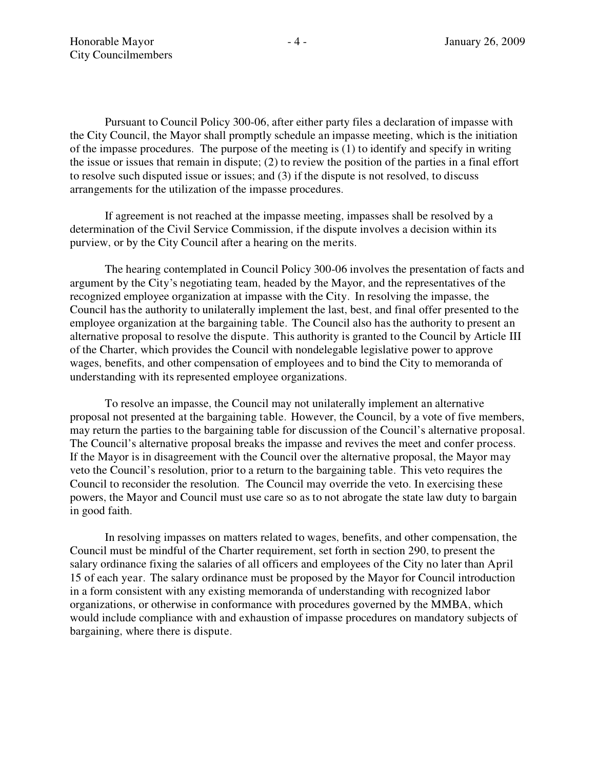Pursuant to Council Policy 300-06, after either party files a declaration of impasse with the City Council, the Mayor shall promptly schedule an impasse meeting, which is the initiation of the impasse procedures. The purpose of the meeting is (1) to identify and specify in writing the issue or issues that remain in dispute; (2) to review the position of the parties in a final effort to resolve such disputed issue or issues; and (3) if the dispute is not resolved, to discuss arrangements for the utilization of the impasse procedures.

If agreement is not reached at the impasse meeting, impasses shall be resolved by a determination of the Civil Service Commission, if the dispute involves a decision within its purview, or by the City Council after a hearing on the merits.

The hearing contemplated in Council Policy 300-06 involves the presentation of facts and argument by the City's negotiating team, headed by the Mayor, and the representatives of the recognized employee organization at impasse with the City. In resolving the impasse, the Council has the authority to unilaterally implement the last, best, and final offer presented to the employee organization at the bargaining table. The Council also has the authority to present an alternative proposal to resolve the dispute. This authority is granted to the Council by Article III of the Charter, which provides the Council with nondelegable legislative power to approve wages, benefits, and other compensation of employees and to bind the City to memoranda of understanding with its represented employee organizations.

To resolve an impasse, the Council may not unilaterally implement an alternative proposal not presented at the bargaining table. However, the Council, by a vote of five members, may return the parties to the bargaining table for discussion of the Council's alternative proposal. The Council's alternative proposal breaks the impasse and revives the meet and confer process. If the Mayor is in disagreement with the Council over the alternative proposal, the Mayor may veto the Council's resolution, prior to a return to the bargaining table. This veto requires the Council to reconsider the resolution. The Council may override the veto. In exercising these powers, the Mayor and Council must use care so as to not abrogate the state law duty to bargain in good faith.

In resolving impasses on matters related to wages, benefits, and other compensation, the Council must be mindful of the Charter requirement, set forth in section 290, to present the salary ordinance fixing the salaries of all officers and employees of the City no later than April 15 of each year. The salary ordinance must be proposed by the Mayor for Council introduction in a form consistent with any existing memoranda of understanding with recognized labor organizations, or otherwise in conformance with procedures governed by the MMBA, which would include compliance with and exhaustion of impasse procedures on mandatory subjects of bargaining, where there is dispute.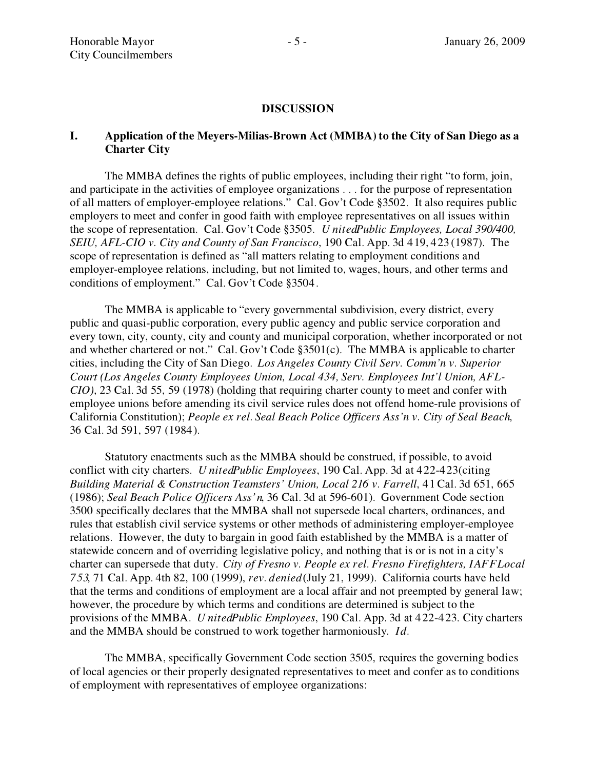#### **DISCUSSION**

## **I. Application** of the Meyers-Milias-Brown Act (MMBA) to the City of San Diego as a **Charter City**

The MMBA defines the rights of public employees, including their right "to form, join, and participate in the activities of employee organizations . . . for the purpose of representation of all matters of employer-employee relations." Cal. Gov't Code §3502. It also requires public employers to meet and confer in good faith with employee representatives on all issues within the scope of representation. Cal. Gov't Code §3505. *UnitedPublic Employees, Local* 390/400, *SEIU, AFL-CIO v. City and County of San Francisco, 190 Cal. App. 3d 419, 423 (1987). The* scope of representation is defined as "all matters relating to employment conditions and employer-employee relations, including, but not limited to, wages, hours, and other terms and conditions of employment." Cal. Gov't Code §3504.

The MMBA is applicable to "every governmental subdivision, every district, every public and quasi-public corporation, every public agency and public service corporation and every town, city, county, city and county and municipal corporation, whether incorporated or not and whether chartered or not." Cal. Gov't Code  $$3501(c)$ . The MMBA is applicable to charter cities, including the City ofSan Diego. *Los Angeles County Civil Serv. Commn v. Superior Court* (Los Angeles County *Employees Union, Local 434, Serv. Employees Int'l Union, AFL-CIO)*, 23 Cal. 3d 55, 59 (1978) (holding that requiring charter county to meet and confer with employee unions before amending its civil service rules does not offend home-rule provisions of California Constitution); *People ex rel. Seal Beach Police Oficers Assn v. City ofSeal Beach*, 36 Cal. 3d 591, 597 (1984).

Statutory enactments such as the MMBA should be construed, if possible, to avoid conflict with city charters. *UnitedPublic Employees*, 190 Cal. App. 3d at 422-423 (citing *Building Material & Construction Teamsters Union, Local 216 v. Farrell*, 41 Cal. 3d 651, 665 (1986); *Seal Beach Police Officers Ass'n*, 36 Cal. 3d at 596-601). Government Code section 3500 specifically declares that the MMBA shall not supersede local charters, ordinances, and rules that establish civil service systems or other methods of administering employer-employee relations. However, the duty to bargain in good faith established by the MMBA is a matter of statewide concern and of overriding legislative policy, and nothing that is or is not in a city's charter can supersede that duty. *City of Fresno v. People ex rel. Fresno Firefighters, IAFFLocal 753*, 71 Cal. App. 4th 82, 100 (1999), *rev. denied*(July 21, 1999). California courts have held that the terms and conditions of employment are a local affair and not preempted by general law; however, the procedure by which terms and conditions are determined is subject to the provisions of the MMBA. *UnitedPublic Employees*, 190 Cal. App. 3d at 422-423. City charters and the MMBA should be construed to work together harmoniously*. Id.*

The MMBA, specifically Government Code section 3505, requires the governing bodies of local agencies or their properly designated representatives to meet and confer as to conditions of employment with representatives of employee organizations: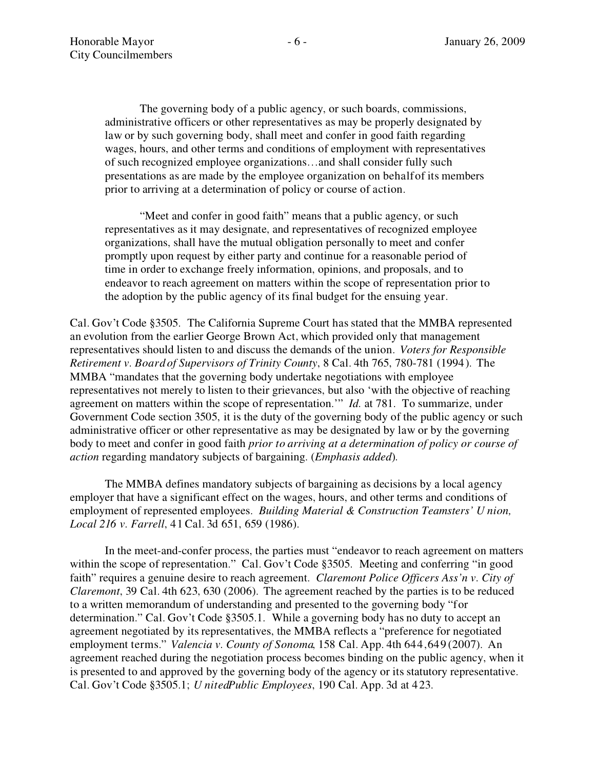The governing body of a public agency, or such boards, commissions, administrative officers or other representatives as may be properly designated by law or by such governing body, shall meet and confer in good faith regarding wages, hours, and other terms and conditions of employment with representatives of such recognized employee organizations...and shall consider fully such presentations as are made by the employee organization on behalfof its members prior to arriving at a determination of policy or course of action.

"Meet and confer in good faith" means that a public agency, or such representatives as it may designate, and representatives of recognized employee organizations, shall have the mutual obligation personally to meet and confer promptly upon request by either party and continue for a reasonable period of time in order to exchange freely information, opinions, and proposals, and to endeavor to reach agreement on matters within the scope of representation prior to the adoption by the public agency of its final budget for the ensuing year.

Cal. Gov't Code §3505. The California Supreme Court has stated that the MMBA represented an evolution from the earlier George Brown Act, which provided only that management representatives should listen to and discuss the demands of the union. *Voters for Responsible Retirement v. Board of Supervisors of Trinity County, 8 Cal. 4th 765, 780-781 (1994). The* MMBA "mandates that the governing body undertake negotiations with employee representatives not merely to listen to their grievances, but also 'with the objective of reaching agreement on matters within the scope of representation." *Id.* at 781. To summarize, under Government Code section 3505, it is the duty of the governing body of the public agency or such administrative officer or other representative as may be designated by law or by the governing body to meet and confer in good faith *prior to arriving at a determination ofpolicy or course of action* regarding mandatory subjects of bargaining. (*Emphasis added*).

The MMBA defines mandatory subjects of bargaining as decisions by a local agency employer that have a significant effect on the wages, hours, and other terms and conditions of employment of represented employees. *Building Material & Construction Teamsters Union, Local 216 v. Farrell*, 41 Cal. 3d 651, 659 (1986).

In the meet-and-confer process, the parties must "endeavor to reach agreement on matters" within the scope of representation." Cal. Gov't Code §3505. Meeting and conferring "in good faith requires a genuine desire to reach agreement. *Claremont Police Oficers Assn v. City of Claremont*, 39 Cal. 4th 623, 630 (2006). The agreement reached by the parties is to be reduced to a written memorandum of understanding and presented to the governing body "for determination." Cal. Gov't Code §3505.1. While a governing body has no duty to accept an agreement negotiated by its representatives, the MMBA reflects a "preference for negotiated employment terms." *Valencia v. County of Sonoma*, 158 Cal. App. 4th 644, 649 (2007). An agreement reached during the negotiation process becomes binding on the public agency, when it is presented to and approved by the governing body of the agency or its statutory representative. Cal. Gov't Code §3505.1; *UnitedPublic Employees*, 190 Cal. App. 3d at 423.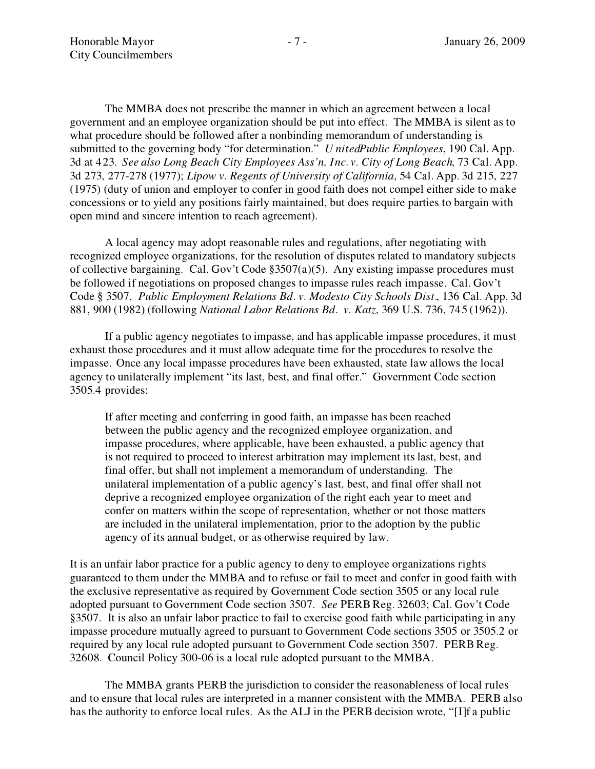The MMBA does not prescribe the manner in which an agreement between a local government and an employee organization should be put into effect. The MMBA is silent as to what procedure should be followed after a nonbinding memorandum of understanding is submitted to the governing body "for determination." *UnitedPublic Employees*, 190 Cal. App. 3d at 423. *See also Long Beach City Employees Ass'n, Inc. v. City of Long Beach, 73 Cal. App.* 3d 273, 277-278 (1977); *Lipow v. Regents ofUniversity ofCalifornia*, 54 Cal. App. 3d 215, 227  $(1975)$  (duty of union and employer to confer in good faith does not compel either side to make concessions or to yield any positions fairly maintained, but does require parties to bargain with open mind and sincere intention to reach agreement).

A local agency may adopt reasonable rules and regulations, after negotiating with recognized employee organizations, for the resolution of disputes related to mandatory subjects of collective bargaining. Cal. Gov't Code  $\S 3507(a)(5)$ . Any existing impasse procedures must be followed if negotiations on proposed changes to impasse rules reach impasse. Cal. Gov't Code § 3507. *Public Employment Relations Bd. v. Modesto City Schools Dist.*, 136 Cal. App. 3d 881, 900 (1982) (following *National Labor Relations Bd. v. Katz*, 369 U.S. 736, 745 (1962)).

If a public agency negotiates to impasse, and has applicable impasse procedures, it must exhaust those procedures and it must allow adequate time for the procedures to resolve the impasse. Once any local impasse procedures have been exhausted, state law allows the local agency to unilaterally implement "its last, best, and final offer." Government Code section 3505.4 provides:

If after meeting and conferring in good faith, an impasse has been reached between the public agency and the recognized employee organization, and impasse procedures, where applicable, have been exhausted, a public agency that is not required to proceed to interest arbitration may implement its last, best, and final offer, but shall not implement a memorandum of understanding. The unilateral implementation of a public agency's last, best, and final offer shall not deprive a recognized employee organization of the right each year to meet and confer on matters within the scope of representation, whether or not those matters are included in the unilateral implementation, prior to the adoption by the public agency of its annual budget, or as otherwise required by law.

It is an unfair labor practice for a public agency to deny to employee organizations rights guaranteed to them under the MMBA and to refuse or fail to meet and confer in good faith with the exclusive representative as required by Government Code section 3505 or any local rule adopted pursuant to Government Code section 3507. *See PERB Reg.* 32603; Cal. Gov't Code §3507. It is also an unfair labor practice to fail to exercise good faith while participating in any impasse procedure mutually agreed to pursuant to Government Code sections 3505 or 3505.2 or required by any local rule adopted pursuant to Government Code section 3507. PERB Reg. 32608. Council Policy 300-06 is a local rule adopted pursuant to the MMBA.

The MMBA grants PERB the jurisdiction to consider the reasonableness of local rules and to ensure that local rules are interpreted in a manner consistent with the MMBA. PERB also has the authority to enforce local rules. As the ALJ in the PERB decision wrote, "[I]f a public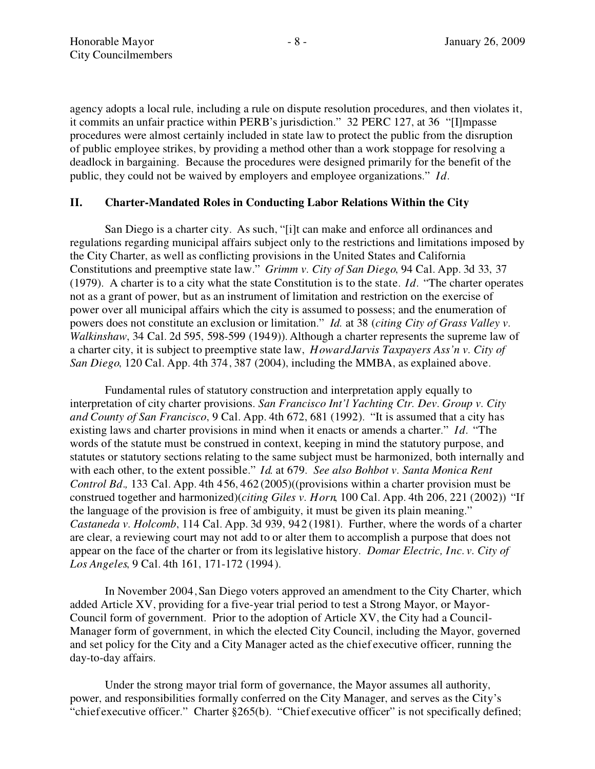agency adopts a local rule, including a rule on dispute resolution procedures, and then violates it, it commits an unfair practice within PERB's jurisdiction." 32 PERC 127, at 36 "[I]mpasse procedures were almost certainly included in state law to protect the public from the disruption of public employee strikes, by providing a method other than a work stoppage for resolving a deadlock in bargaining. Because the procedures were designed primarily for the benefit of the public, they could not be waived by employers and employee organizations. *Id.*

## **II. Charter-Mandated Roles in Conducting Labor Relations Within the City**

San Diego is a charter city. As such, "[i]t can make and enforce all ordinances and regulations regarding municipal affairs subject only to the restrictions and limitations imposed by the City Charter, as well as conflicting provisions in the United States and California Constitutions and preemptive state law." Grimm v. City of San Diego, 94 Cal. App. 3d 33, 37 (1979). A charter is to a city what the state Constitution is to the state.  $Id$ . "The charter operates" not as a grant of power, but as an instrument of limitation and restriction on the exercise of power over all municipal affairs which the city is assumed to possess; and the enumeration of powers does not constitute an exclusion or limitation. *Id.* at 38 (*citing City ofGrass Valley v. Walkinshaw*, 34 Cal. 2d 595, 598-599 (1949)). Although a charter represents the supreme law of a charter city, it is subject to preemptive state law, *HowardJarvis Taxpayers Ass'n v. City of San Diego*, 120 Cal. App. 4th 374, 387 (2004), including the MMBA, as explained above.

Fundamental rules of statutory construction and interpretation apply equally to interpretation of city charter provisions. *San Francisco Int'l Yachting Ctr. Dev. Group v. City and County of San Francisco*, 9 Cal. App. 4th 672, 681 (1992). "It is assumed that a city has existing laws and charter provisions in mind when it enacts or amends a charter." *Id.* "The words of the statute must be construed in context, keeping in mind the statutory purpose, and statutes or statutory sections relating to the same subject must be harmonized, both internally and with each other, to the extent possible. *Id*. at 679. *See also Bohbot v. Santa Monica Rent Control Bd.,* 133 Cal. App. 4th 456, 462 (2005)((provisions within a charter provision must be construed together and harmonized)(*citing Giles v. Horn*, 100 Cal. App. 4th 206, 221 (2002)) "If the language of the provision is free of ambiguity, it must be given its plain meaning. *Castaneda v. Holcomb*, 114 Cal. App. 3d 939, 942 (1981). Further, where the words of a charter are clear, a reviewing court may not add to or alter them to accomplish a purpose that does not appear on the face of the charter or from its legislative history. *Domar Electric, Inc. v. City of Los Angeles*, 9 Cal. 4th 161, 171-172 (1994).

In November 2004, San Diego voters approved an amendment to the City Charter, which added Article XV, providing for a five-year trial period to test a Strong Mayor, or Mayor-Council form of government. Prior to the adoption of Article XV, the City had a Council-Manager form of government, in which the elected City Council, including the Mayor, governed and set policy for the City and a City Manager acted as the chiefexecutive officer, running the day-to-day affairs.

Under the strong mayor trial form of governance, the Mayor assumes all authority, power, and responsibilities formally conferred on the City Manager, and serves as the City's "chief executive officer." Charter  $§265(b)$ . "Chief executive officer" is not specifically defined;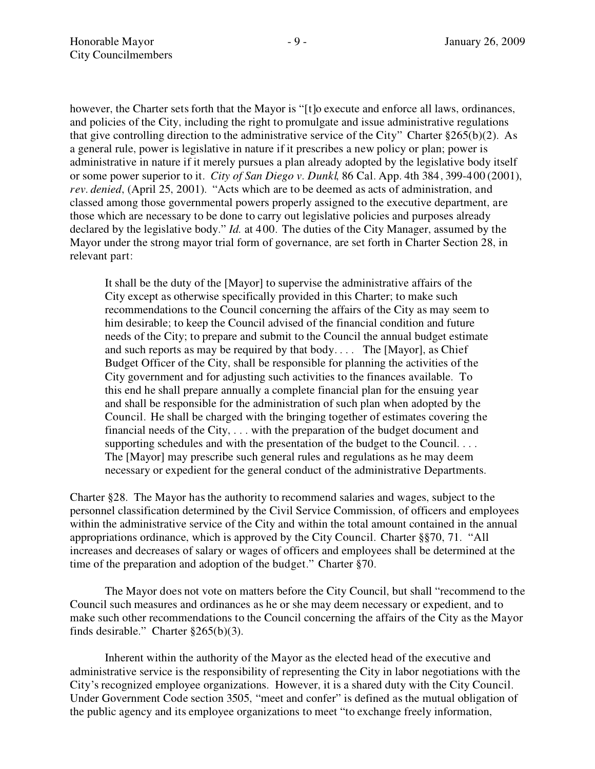however, the Charter sets forth that the Mayor is "[t]o execute and enforce all laws, ordinances, and policies of the City, including the right to promulgate and issue administrative regulations that give controlling direction to the administrative service of the City" Charter  $8265(b)(2)$ . As a general rule, power is legislative in nature if it prescribes a new policy or plan; power is administrative in nature if it merely pursues a plan already adopted by the legislative body itself or some power superior to it. *City of San Diego v. Dunkl*, 86 Cal. App. 4th 384, 399-400 (2001), *rev. denied*, (April 25, 2001). "Acts which are to be deemed as acts of administration, and classed among those governmental powers properly assigned to the executive department, are those which are necessary to be done to carry out legislative policies and purposes already declared by the legislative body." *Id.* at 400. The duties of the City Manager, assumed by the Mayor under the strong mayor trial form of governance, are set forth in Charter Section 28, in relevant part:

It shall be the duty of the [Mayor] to supervise the administrative affairs of the City except as otherwise specifically provided in this Charter; to make such recommendations to the Council concerning the affairs of the City as may seem to him desirable; to keep the Council advised of the financial condition and future needs of the City; to prepare and submit to the Council the annual budget estimate and such reports as may be required by that body.... The [Mayor], as Chief Budget Officer of the City, shall be responsible for planning the activities of the City government and for adjusting such activities to the finances available. To this end he shall prepare annually a complete financial plan for the ensuing year and shall be responsible for the administration of such plan when adopted by the Council. He shall be charged with the bringing together of estimates covering the financial needs of the City, . . . with the preparation of the budget document and supporting schedules and with the presentation of the budget to the Council. ... The [Mayor] may prescribe such general rules and regulations as he may deem necessary or expedient for the general conduct of the administrative Departments.

Charter §28. The Mayor has the authority to recommend salaries and wages, subject to the personnel classification determined by the Civil Service Commission, of officers and employees within the administrative service of the City and within the total amount contained in the annual appropriations ordinance, which is approved by the City Council. Charter  $\S$ §70, 71. "All increases and decreases of salary or wages of officers and employees shall be determined at the time of the preparation and adoption of the budget." Charter  $\S 70$ .

The Mayor does not vote on matters before the City Council, but shall "recommend to the Council such measures and ordinances as he or she may deem necessary or expedient, and to make such other recommendations to the Council concerning the affairs of the City as the Mayor finds desirable." Charter  $\S 265(b)(3)$ .

Inherent within the authority of the Mayor as the elected head of the executive and administrative service is the responsibility of representing the City in labor negotiations with the City's recognized employee organizations. However, it is a shared duty with the City Council. Under Government Code section 3505, "meet and confer" is defined as the mutual obligation of the public agency and its employee organizations to meet "to exchange freely information,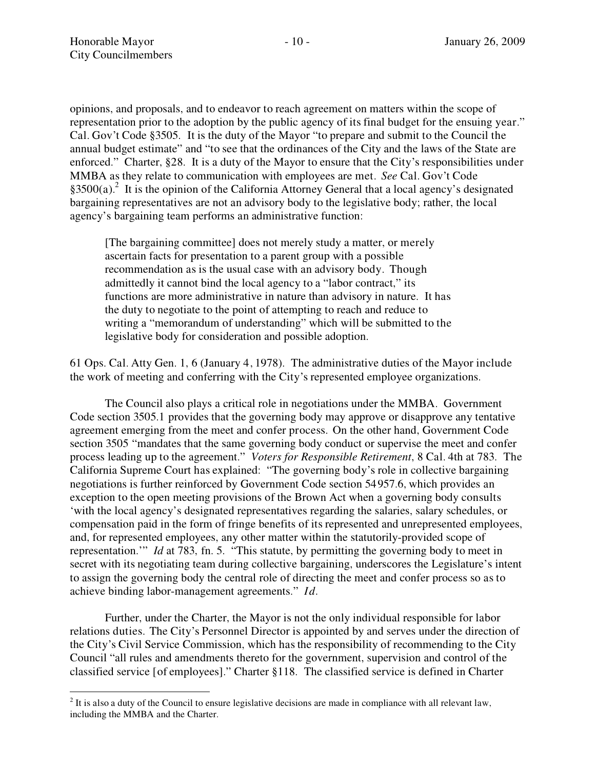opinions, and proposals, and to endeavor to reach agreement on matters within the scope of representation prior to the adoption by the public agency of its final budget for the ensuing year." Cal. Gov't Code §3505. It is the duty of the Mayor "to prepare and submit to the Council the annual budget estimate" and "to see that the ordinances of the City and the laws of the State are enforced." Charter,  $§28$ . It is a duty of the Mayor to ensure that the City's responsibilities under MMBA as they relate to communication with employees are met. *See* Cal. Gov't Code  $$3500(a).$ <sup>2</sup> It is the opinion of the California Attorney General that a local agency's designated bargaining representatives are not an advisory body to the legislative body; rather, the local agency's bargaining team performs an administrative function:

[The bargaining committee] does not merely study a matter, or merely ascertain facts for presentation to a parent group with a possible recommendation as is the usual case with an advisory body. Though admittedly it cannot bind the local agency to a "labor contract," its functions are more administrative in nature than advisory in nature. It has the duty to negotiate to the point of attempting to reach and reduce to writing a "memorandum of understanding" which will be submitted to the legislative body for consideration and possible adoption.

61 Ops. Cal. Atty Gen. 1, 6 (January 4, 1978). The administrative duties of the Mayor include the work of meeting and conferring with the City's represented employee organizations.

The Council also plays a critical role in negotiations under the MMBA. Government Code section 3505.1 provides that the governing body may approve or disapprove any tentative agreement emerging from the meet and confer process. On the other hand, Government Code section 3505 "mandates that the same governing body conduct or supervise the meet and confer process leading up to the agreement. *Voters for Responsible Retirement*, 8 Cal. 4th at 783. The California Supreme Court has explained: "The governing body's role in collective bargaining negotiations is further reinforced by Government Code section 54957.6, which provides an exception to the open meeting provisions of the Brown Act when a governing body consults with the local agency's designated representatives regarding the salaries, salary schedules, or compensation paid in the form of fringe benefits of its represented and unrepresented employees, and, for represented employees, any other matter within the statutorily-provided scope of representation." *Id* at 783, fn. 5. "This statute, by permitting the governing body to meet in secret with its negotiating team during collective bargaining, underscores the Legislature's intent to assign the governing body the central role of directing the meet and confer process so as to achieve binding labor-management agreements. *Id.*

Further, under the Charter, the Mayor is not the only individual responsible for labor relations duties. The City's Personnel Director is appointed by and serves under the direction of the City's Civil Service Commission, which has the responsibility of recommending to the City Council "all rules and amendments thereto for the government, supervision and control of the classified service [of employees]." Charter §118. The classified service is defined in Charter

 $2$  It is also a duty of the Council to ensure legislative decisions are made in compliance with all relevant law, including the MMBA and the Charter.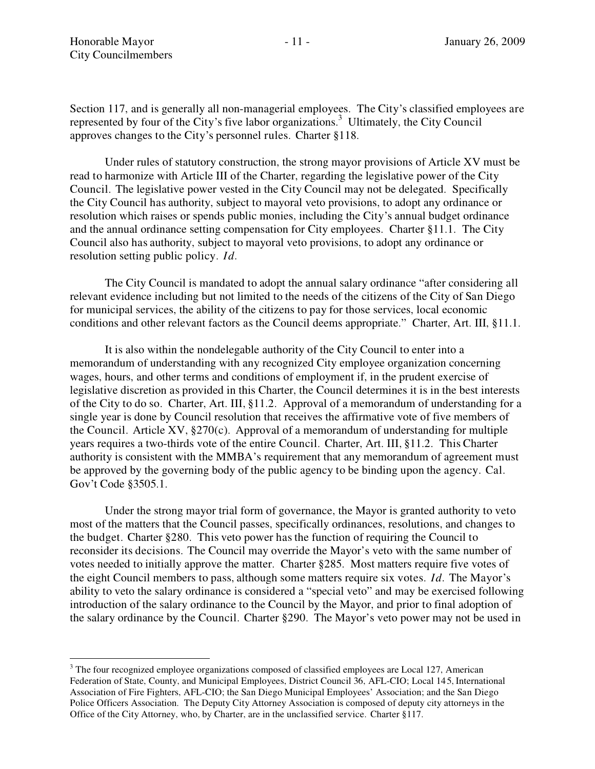Section 117, and is generally all non-managerial employees. The City's classified employees are represented by four of the City's five labor organizations.<sup>3</sup> Ultimately, the City Council approves changes to the City's personnel rules. Charter §118.

Under rules of statutory construction, the strong mayor provisions of Article XV must be read to harmonize with Article III of the Charter, regarding the legislative power of the City Council. The legislative power vested in the City Council may not be delegated. Specifically the City Council has authority, subject to mayoral veto provisions, to adopt any ordinance or resolution which raises or spends public monies, including the City's annual budget ordinance and the annual ordinance setting compensation for City employees. Charter §11.1. The City Council also has authority, subject to mayoral veto provisions, to adopt any ordinance or resolution setting public policy. *Id.*

The City Council is mandated to adopt the annual salary ordinance "after considering all relevant evidence including but not limited to the needs of the citizens of the City of San Diego for municipal services, the ability of the citizens to pay for those services, local economic conditions and other relevant factors as the Council deems appropriate." Charter, Art. III, §11.1.

It is also within the nondelegable authority of the City Council to enter into a memorandum of understanding with any recognized City employee organization concerning wages, hours, and other terms and conditions of employment if, in the prudent exercise of legislative discretion as provided in this Charter, the Council determines it is in the best interests of the City to do so. Charter, Art. III, §11.2. Approval of a memorandum of understanding for a single year is done by Council resolution that receives the affirmative vote of five members of the Council. Article XV,  $\S270(c)$ . Approval of a memorandum of understanding for multiple years requires a two-thirds vote of the entire Council. Charter, Art. III, §11.2. This Charter authority is consistent with the MMBA's requirement that any memorandum of agreement must be approved by the governing body of the public agency to be binding upon the agency. Cal. Gov't Code §3505.1.

Under the strong mayor trial form of governance, the Mayor is granted authority to veto most of the matters that the Council passes, specifically ordinances, resolutions, and changes to the budget. Charter §280. This veto power has the function of requiring the Council to reconsider its decisions. The Council may override the Mayor's veto with the same number of votes needed to initially approve the matter. Charter §285. Most matters require five votes of the eight Council members to pass, although some matters require six votes.  $Id$ . The Mayor's ability to veto the salary ordinance is considered a "special veto" and may be exercised following introduction of the salary ordinance to the Council by the Mayor, and prior to final adoption of the salary ordinance by the Council. Charter  $\S 290$ . The Mayor's veto power may not be used in

<sup>&</sup>lt;sup>3</sup> The four recognized employee organizations composed of classified employees are Local 127, American Federation of State, County, and Municipal Employees, District Council 36, AFL-CIO; Local 145, International Association of Fire Fighters, AFL-CIO; the San Diego Municipal Employees' Association; and the San Diego Police Officers Association. The Deputy City Attorney Association is composed of deputy city attorneys in the Office of the City Attorney, who, by Charter, are in the unclassified service. Charter §117.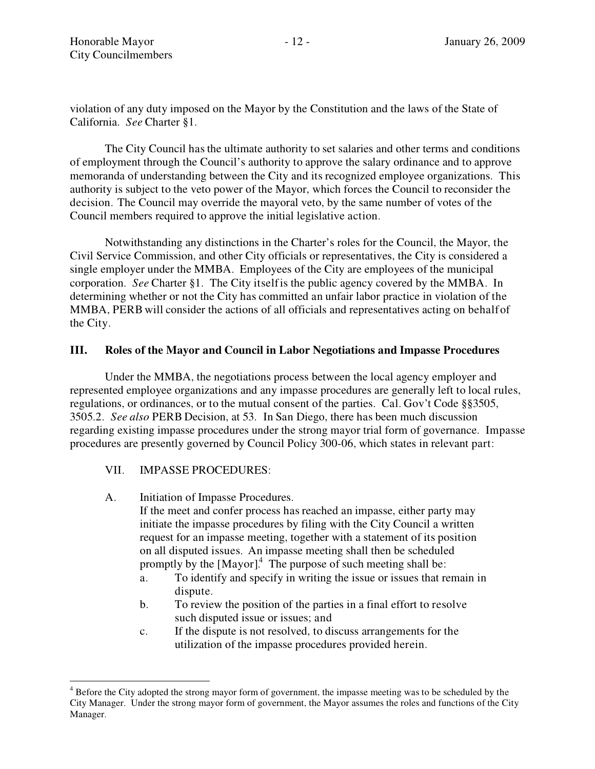violation of any duty imposed on the Mayor by the Constitution and the laws of the State of California. *See* Charter §1.

The City Council has the ultimate authority to set salaries and other terms and conditions of employment through the Council's authority to approve the salary ordinance and to approve memoranda of understanding between the City and its recognized employee organizations. This authority is subject to the veto power of the Mayor, which forces the Council to reconsider the decision. The Council may override the mayoral veto, by the same number of votes of the Council members required to approve the initial legislative action.

Notwithstanding any distinctions in the Charter's roles for the Council, the Mayor, the Civil Service Commission, and other City officials or representatives, the City is considered a single employer under the MMBA. Employees of the City are employees of the municipal corporation. *See* Charter §1. The City itselfis the public agency covered by the MMBA. In determining whether or not the City has committed an unfair labor practice in violation of the MMBA, PERB will consider the actions of all officials and representatives acting on behalfof the City.

## **III. Roles of the Mayor and Council in Labor Negotiations and Impasse Procedures**

Under the MMBA, the negotiations process between the local agency employer and represented employee organizations and any impasse procedures are generally left to local rules, regulations, or ordinances, or to the mutual consent of the parties. Cal. Gov't Code §§3505, 3505.2. *See also* PERB Decision, at 53. In San Diego, there has been much discussion regarding existing impasse procedures under the strong mayor trial form of governance. Impasse procedures are presently governed by Council Policy 300-06, which states in relevant part:

## VII. IMPASSE PROCEDURES:

A. Initiation of Impasse Procedures.

If the meet and confer process has reached an impasse, either party may initiate the impasse procedures by filing with the City Council a written request for an impasse meeting, together with a statement of its position on all disputed issues. An impasse meeting shall then be scheduled promptly by the  $[Mayor]$ <sup>4</sup>. The purpose of such meeting shall be:

- a. To identify and specify in writing the issue or issues that remain in dispute.
- b. To review the position of the parties in a final effort to resolve such disputed issue or issues; and
- c. If the dispute is not resolved, to discuss arrangements for the utilization of the impasse procedures provided herein.

<sup>&</sup>lt;sup>4</sup> Before the City adopted the strong mayor form of government, the impasse meeting was to be scheduled by the City Manager. Under the strong mayor form of government, the Mayor assumes the roles and functions of the City Manager.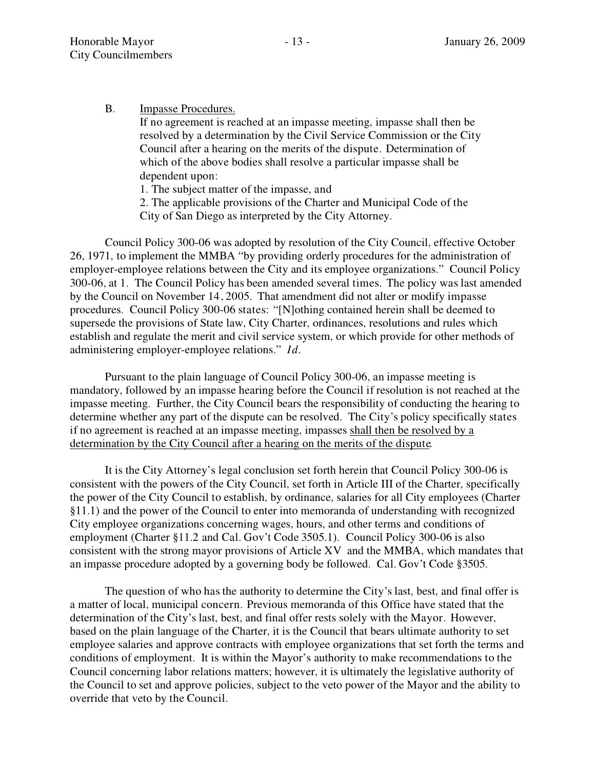B. Impasse Procedures.

If no agreement is reached at an impasse meeting, impasse shall then be resolved by a determination by the Civil Service Commission or the City Council after a hearing on the merits of the dispute. Determination of which of the above bodies shall resolve a particular impasse shall be dependent upon:

1. The subject matter of the impasse, and

2. The applicable provisions of the Charter and Municipal Code of the City of San Diego as interpreted by the City Attorney.

Council Policy 300-06 was adopted by resolution of the City Council, effective October 26, 1971, to implement the MMBA "by providing orderly procedures for the administration of employer-employee relations between the City and its employee organizations." Council Policy 300-06, at 1. The Council Policy has been amended several times. The policy was last amended by the Council on November 14, 2005. That amendment did not alter or modify impasse procedures. Council Policy 300-06 states: "[N]othing contained herein shall be deemed to supersede the provisions of State law, City Charter, ordinances, resolutions and rules which establish and regulate the merit and civil service system, or which provide for other methods of administering employer-employee relations." *Id.* 

Pursuant to the plain language of Council Policy 300-06, an impasse meeting is mandatory, followed by an impasse hearing before the Council if resolution is not reached at the impasse meeting. Further, the City Council bears the responsibility of conducting the hearing to determine whether any part of the dispute can be resolved. The City's policy specifically states ifno agreement is reached at an impasse meeting, impasses shall then be resolved by a determination by the City Council after a hearing on the merits of the dispute.

It is the City Attorney's legal conclusion set forth herein that Council Policy 300-06 is consistent with the powers of the City Council, set forth in Article III of the Charter, specifically the power of the City Council to establish, by ordinance, salaries for all City employees (Charter §11.1) and the power of the Council to enter into memoranda of understanding with recognized City employee organizations concerning wages, hours, and other terms and conditions of employment (Charter §11.2 and Cal. Gov't Code 3505.1). Council Policy 300-06 is also consistent with the strong mayor provisions of Article XV and the MMBA, which mandates that an impasse procedure adopted by a governing body be followed. Cal. Gov't Code §3505.

The question of who has the authority to determine the City's last, best, and final offer is a matter of local, municipal concern. Previous memoranda of this Office have stated that the determination of the City's last, best, and final offer rests solely with the Mayor. However, based on the plain language of the Charter, it is the Council that bears ultimate authority to set employee salaries and approve contracts with employee organizations that set forth the terms and conditions of employment. It is within the Mayor's authority to make recommendations to the Council concerning labor relations matters; however, it is ultimately the legislative authority of the Council to set and approve policies, subject to the veto power of the Mayor and the ability to override that veto by the Council.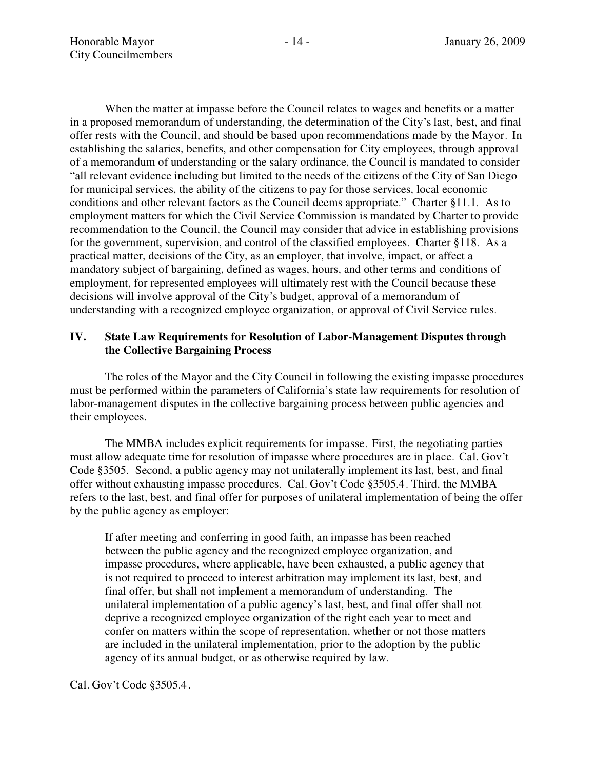When the matter at impasse before the Council relates to wages and benefits or a matter in a proposed memorandum of understanding, the determination of the City's last, best, and final offer rests with the Council, and should be based upon recommendations made by the Mayor. In establishing the salaries, benefits, and other compensation for City employees, through approval ofa memorandum ofunderstanding or the salary ordinance, the Council is mandated to consider "all relevant evidence including but limited to the needs of the citizens of the City of San Diego for municipal services, the ability of the citizens to pay for those services, local economic conditions and other relevant factors as the Council deems appropriate." Charter §11.1. As to employment matters for which the Civil Service Commission is mandated by Charter to provide recommendation to the Council, the Council may consider that advice in establishing provisions for the government, supervision, and control of the classified employees. Charter §118. As a practical matter, decisions of the City, as an employer, that involve, impact, or affect a mandatory subject ofbargaining, defined as wages, hours, and other terms and conditions of employment, for represented employees will ultimately rest with the Council because these decisions will involve approval of the City's budget, approval of a memorandum of understanding with a recognized employee organization, or approval of Civil Service rules.

## **IV. State Law Requirements for Resolution ofLabor-Management Disputes through the Collective Bargaining Process**

The roles of the Mayor and the City Council in following the existing impasse procedures must be performed within the parameters of California's state law requirements for resolution of labor-management disputes in the collective bargaining process between public agencies and their employees.

The MMBA includes explicit requirements for impasse. First, the negotiating parties must allow adequate time for resolution of impasse where procedures are in place. Cal. Gov't Code §3505. Second, a public agency may not unilaterally implement its last, best, and final offer without exhausting impasse procedures. Cal. Gov't Code §3505.4. Third, the MMBA refers to the last, best, and final offer for purposes of unilateral implementation of being the offer by the public agency as employer:

If after meeting and conferring in good faith, an impasse has been reached between the public agency and the recognized employee organization, and impasse procedures, where applicable, have been exhausted, a public agency that is not required to proceed to interest arbitration may implement its last, best, and final offer, but shall not implement a memorandum of understanding. The unilateral implementation of a public agency's last, best, and final offer shall not deprive a recognized employee organization of the right each year to meet and confer on matters within the scope of representation, whether or not those matters are included in the unilateral implementation, prior to the adoption by the public agency of its annual budget, or as otherwise required by law.

Cal. Gov't Code §3505.4.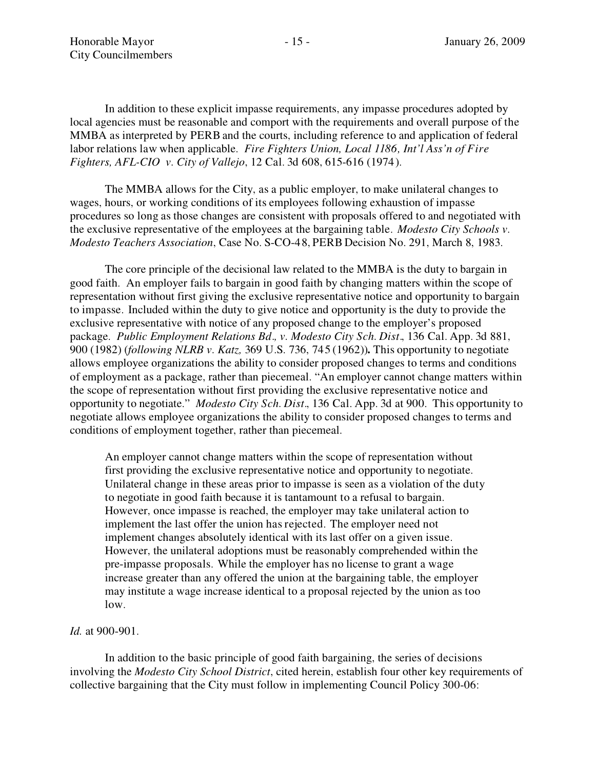In addition to these explicit impasse requirements, any impasse procedures adopted by local agencies must be reasonable and comport with the requirements and overall purpose of the MMBA as interpreted by PERB and the courts, including reference to and application of federal labor relations law when applicable. *Fire Fighters Union, Local 1186, Int'l Ass'n of Fire Fighters, AFL-CIO v. City ofVallejo*, 12 Cal. 3d 608, 615-616 (1974).

The MMBA allows for the City, as a public employer, to make unilateral changes to wages, hours, or working conditions of its employees following exhaustion of impasse procedures so long as those changes are consistent with proposals offered to and negotiated with the exclusive representative of the employees at the bargaining table. *Modesto City Schools v. Modesto Teachers Association*, Case No. S-CO-48, PERB Decision No. 291, March 8, 1983.

The core principle of the decisional law related to the MMBA is the duty to bargain in good faith. An employer fails to bargain in good faith by changing matters within the scope of representation without first giving the exclusive representative notice and opportunity to bargain to impasse. Included within the duty to give notice and opportunity is the duty to provide the exclusive representative with notice of any proposed change to the employer's proposed package. *Public Employment Relations Bd., v. Modesto City Sch. Dist.*, 136 Cal. App. 3d 881, 900 (1982) (*following NLRB v. Katz,* 369 U.S. 736, 745 (1962))**.** This opportunity to negotiate allows employee organizations the ability to consider proposed changes to terms and conditions of employment as a package, rather than piecemeal. "An employer cannot change matters within the scope of representation without first providing the exclusive representative notice and opportunity to negotiate. *Modesto City Sch. Dist.*, 136 Cal. App. 3d at 900. This opportunity to negotiate allows employee organizations the ability to consider proposed changes to terms and conditions of employment together, rather than piecemeal.

An employer cannot change matters within the scope of representation without first providing the exclusive representative notice and opportunity to negotiate. Unilateral change in these areas prior to impasse is seen as a violation of the duty to negotiate in good faith because it is tantamount to a refusal to bargain. However, once impasse is reached, the employer may take unilateral action to implement the last offer the union has rejected. The employer need not implement changes absolutely identical with its last offer on a given issue. However, the unilateral adoptions must be reasonably comprehended within the pre-impasse proposals. While the employer has no license to grant a wage increase greater than any offered the union at the bargaining table, the employer may institute a wage increase identical to a proposal rejected by the union as too low.

*Id.* at 900-901.

In addition to the basic principle of good faith bargaining, the series of decisions involving the *Modesto City School District*, cited herein, establish four other key requirements of collective bargaining that the City must follow in implementing Council Policy 300-06: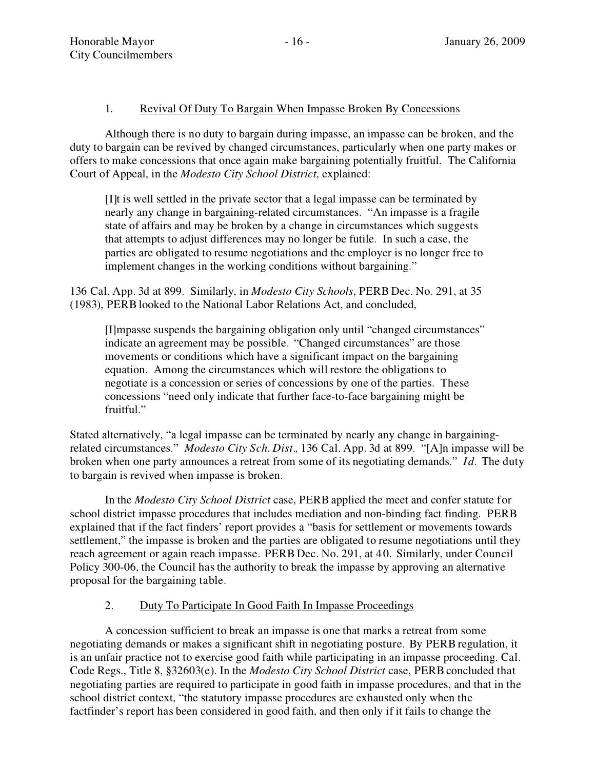# 1. Revival Of Duty To Bargain When Impasse Broken By Concessions

Although there is no duty to bargain during impasse, an impasse can be broken, and the duty to bargain can be revived by changed circumstances, particularly when one party makes or offers to make concessions that once again make bargaining potentially fruitful. The California Court of Appeal, in the *Modesto City School District*, explained:

[I]t is well settled in the private sector that a legal impasse can be terminated by nearly any change in bargaining-related circumstances. "An impasse is a fragile state of affairs and may be broken by a change in circumstances which suggests that attempts to adjust differences may no longer be futile. In such a case, the parties are obligated to resume negotiations and the employer is no longer free to implement changes in the working conditions without bargaining."

136 Cal. App. 3d at 899. Similarly, in *Modesto City Schools*, PERB Dec. No. 291, at 35 (1983), PERB looked to the National Labor Relations Act, and concluded,

[I]mpasse suspends the bargaining obligation only until "changed circumstances" indicate an agreement may be possible. "Changed circumstances" are those movements or conditions which have a significant impact on the bargaining equation. Among the circumstances which will restore the obligations to negotiate is a concession or series of concessions by one of the parties. These concessions "need only indicate that further face-to-face bargaining might be fruitful.

Stated alternatively, "a legal impasse can be terminated by nearly any change in bargainingrelated circumstances." *Modesto City Sch. Dist.*, 136 Cal. App. 3d at 899. "[A]n impasse will be broken when one party announces a retreat from some of its negotiating demands." *Id.* The duty to bargain is revived when impasse is broken.

In the *Modesto City School District* case, PERB applied the meet and conferstatute for school district impasse procedures that includes mediation and non-binding fact finding. PERB explained that if the fact finders' report provides a "basis for settlement or movements towards settlement," the impasse is broken and the parties are obligated to resume negotiations until they reach agreement or again reach impasse. PERB Dec. No. 291, at 40. Similarly, under Council Policy 300-06, the Council has the authority to break the impasse by approving an alternative proposal for the bargaining table.

# 2. Duty To Participate In Good Faith In Impasse Proceedings

A concession sufficient to break an impasse is one that marks a retreat from some negotiating demands or makes a significant shift in negotiating posture. By PERB regulation, it is an unfair practice not to exercise good faith while participating in an impasse proceeding. Cal. Code Regs., Title 8, §32603(e). In the *Modesto City School District* case, PERB concluded that negotiating parties are required to participate in good faith in impasse procedures, and that in the school district context, "the statutory impasse procedures are exhausted only when the factfinder's report has been considered in good faith, and then only if it fails to change the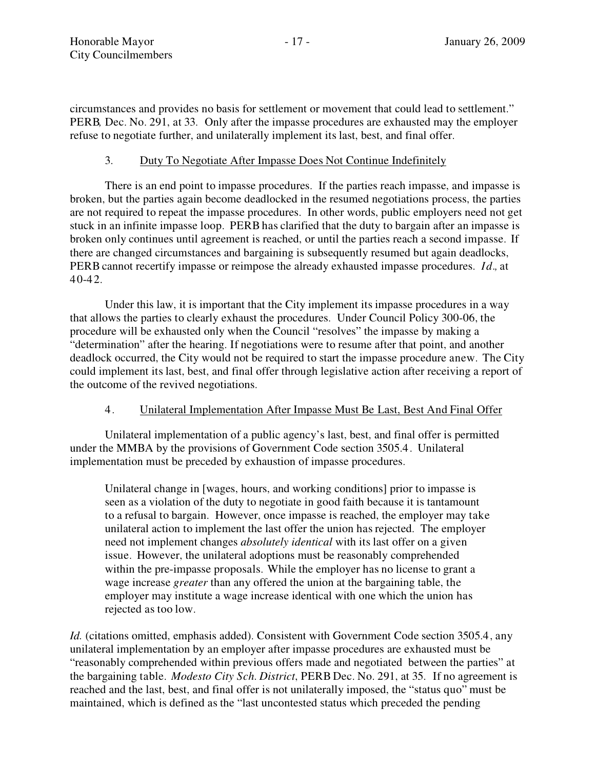circumstances and provides no basis for settlement or movement that could lead to settlement. PERB*,* Dec. No. 291, at 33. Only after the impasse procedures are exhausted may the employer refuse to negotiate further, and unilaterally implement its last, best, and final offer.

# 3. Duty To Negotiate After Impasse Does Not Continue Indefinitely

There is an end point to impasse procedures. If the parties reach impasse, and impasse is broken, but the parties again become deadlocked in the resumed negotiations process, the parties are not required to repeat the impasse procedures. In other words, public employers need not get stuck in an infinite impasse loop. PERB has clarified that the duty to bargain after an impasse is broken only continues until agreement is reached, or until the parties reach a second impasse. If there are changed circumstances and bargaining is subsequently resumed but again deadlocks, PERB cannot recertify impasse or reimpose the already exhausted impasse procedures. *Id.,* at 40-42.

Under this law, it is important that the City implement its impasse procedures in a way that allows the parties to clearly exhaust the procedures. Under Council Policy 300-06, the procedure will be exhausted only when the Council "resolves" the impasse by making a "determination" after the hearing. If negotiations were to resume after that point, and another deadlock occurred, the City would not be required to start the impasse procedure anew. The City could implement its last, best, and final offer through legislative action after receiving a report of the outcome of the revived negotiations.

# 4. Unilateral Implementation After Impasse Must Be Last, Best And Final Offer

Unilateral implementation of a public agency's last, best, and final offer is permitted under the MMBA by the provisions of Government Code section 3505.4. Unilateral implementation must be preceded by exhaustion of impasse procedures.

Unilateral change in [wages, hours, and working conditions] prior to impasse is seen as a violation of the duty to negotiate in good faith because it is tantamount to a refusal to bargain. However, once impasse is reached, the employer may take unilateral action to implement the last offer the union has rejected. The employer need not implement changes *absolutely identical* with its last offer on a given issue. However, the unilateral adoptions must be reasonably comprehended within the pre-impasse proposals. While the employer has no license to grant a wage increase *greater* than any offered the union at the bargaining table, the employer may institute a wage increase identical with one which the union has rejected as too low.

*Id.* (citations omitted, emphasis added). Consistent with Government Code section 3505.4, any unilateral implementation by an employer after impasse procedures are exhausted must be "reasonably comprehended within previous offers made and negotiated between the parties" at the bargaining table. *Modesto City Sch. District*, PERB Dec. No. 291, at 35. Ifno agreement is reached and the last, best, and final offer is not unilaterally imposed, the "status quo" must be maintained, which is defined as the "last uncontested status which preceded the pending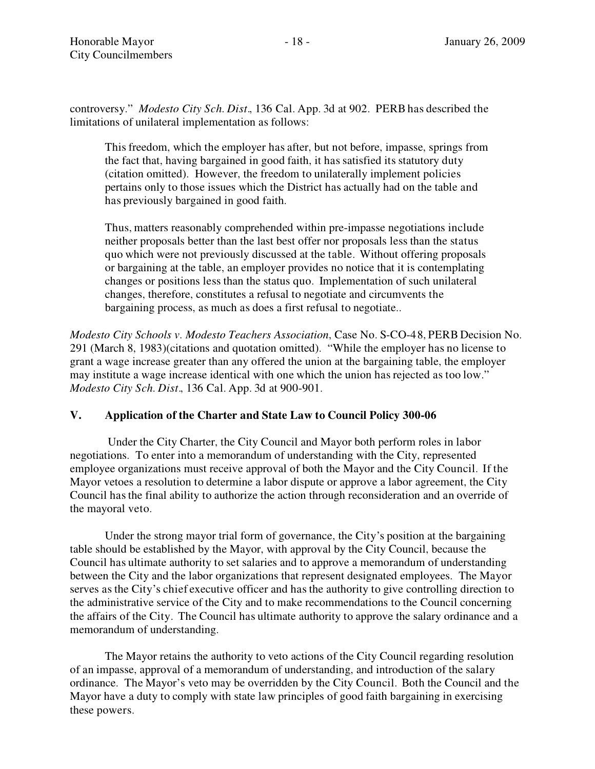controversy. *Modesto City Sch. Dist.*, 136 Cal. App. 3d at 902. PERB has described the limitations of unilateral implementation as follows:

This freedom, which the employer has after, but not before, impasse, springs from the fact that, having bargained in good faith, it has satisfied its statutory duty (citation omitted). However, the freedom to unilaterally implement policies pertains only to those issues which the District has actually had on the table and has previously bargained in good faith.

Thus, matters reasonably comprehended within pre-impasse negotiations include neither proposals better than the last best offer nor proposals less than the status quo which were not previously discussed at the table. Without offering proposals or bargaining at the table, an employer provides no notice that it is contemplating changes or positions less than the status quo. Implementation of such unilateral changes, therefore, constitutes a refusal to negotiate and circumvents the bargaining process, as much as does a first refusal to negotiate..

*Modesto City Schools v. Modesto Teachers Association*, Case No. S-CO-48, PERB Decision No. 291 (March 8, 1983)(citations and quotation omitted). While the employer has no license to grant a wage increase greater than any offered the union at the bargaining table, the employer may institute a wage increase identical with one which the union has rejected as too low. *Modesto City Sch. Dist.*, 136 Cal. App. 3d at 900-901.

## **V.** Application of the Charter and State Law to Council Policy 300-06

Under the City Charter, the City Council and Mayor both perform roles in labor negotiations. To enter into a memorandum of understanding with the City, represented employee organizations must receive approval of both the Mayor and the City Council. If the Mayor vetoes a resolution to determine a labor dispute or approve a labor agreement, the City Council has the final ability to authorize the action through reconsideration and an override of the mayoral veto.

Under the strong mayor trial form of governance, the City's position at the bargaining table should be established by the Mayor, with approval by the City Council, because the Council has ultimate authority to set salaries and to approve a memorandum of understanding between the City and the labor organizations that represent designated employees. The Mayor serves as the City's chief executive officer and has the authority to give controlling direction to the administrative service of the City and to make recommendations to the Council concerning the affairs of the City. The Council has ultimate authority to approve the salary ordinance and a memorandum of understanding.

The Mayor retains the authority to veto actions of the City Council regarding resolution of an impasse, approval of a memorandum of understanding, and introduction of the salary ordinance. The Mayor's veto may be overridden by the City Council. Both the Council and the Mayor have a duty to comply with state law principles of good faith bargaining in exercising these powers.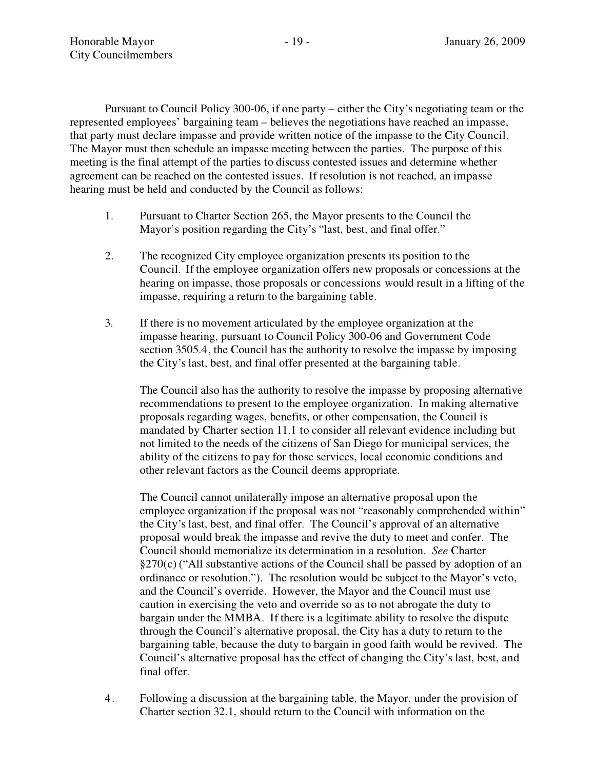Pursuant to Council Policy 300-06, if one party  $-$  either the City's negotiating team or the represented employees' bargaining team – believes the negotiations have reached an impasse, that party must declare impasse and provide written notice of the impasse to the City Council. The Mayor must then schedule an impasse meeting between the parties. The purpose of this meeting is the final attempt of the parties to discuss contested issues and determine whether agreement can be reached on the contested issues. Ifresolution is not reached, an impasse hearing must be held and conducted by the Council as follows:

- 1. Pursuant to Charter Section 265, the Mayor presents to the Council the Mayor's position regarding the City's "last, best, and final offer."
- 2. The recognized City employee organization presents its position to the Council. Ifthe employee organization offers new proposals or concessions at the hearing on impasse, those proposals or concessions would result in a lifting of the impasse, requiring a return to the bargaining table.
- 3. If there is no movement articulated by the employee organization at the impasse hearing, pursuant to Council Policy 300-06 and Government Code section 3505.4, the Council has the authority to resolve the impasse by imposing the City's last, best, and final offer presented at the bargaining table.

The Council also has the authority to resolve the impasse by proposing alternative recommendations to present to the employee organization. In making alternative proposals regarding wages, benefits, or other compensation, the Council is mandated by Charter section 11.1 to consider all relevant evidence including but not limited to the needs of the citizens of San Diego for municipal services, the ability of the citizens to pay for those services, local economic conditions and other relevant factors as the Council deems appropriate.

The Council cannot unilaterally impose an alternative proposal upon the employee organization if the proposal was not "reasonably comprehended within" the City's last, best, and final offer. The Council's approval of an alternative proposal would break the impasse and revive the duty to meet and confer. The Council should memorialize its determination in a resolution. *See* Charter  $\S270(c)$  ("All substantive actions of the Council shall be passed by adoption of an ordinance or resolution."). The resolution would be subject to the Mayor's veto, and the Council's override. However, the Mayor and the Council must use caution in exercising the veto and override so as to not abrogate the duty to bargain under the MMBA. If there is a legitimate ability to resolve the dispute through the Council's alternative proposal, the City has a duty to return to the bargaining table, because the duty to bargain in good faith would be revived. The Council's alternative proposal has the effect of changing the City's last, best, and final offer.

4. Following a discussion at the bargaining table, the Mayor, under the provision of Charter section 32.1, should return to the Council with information on the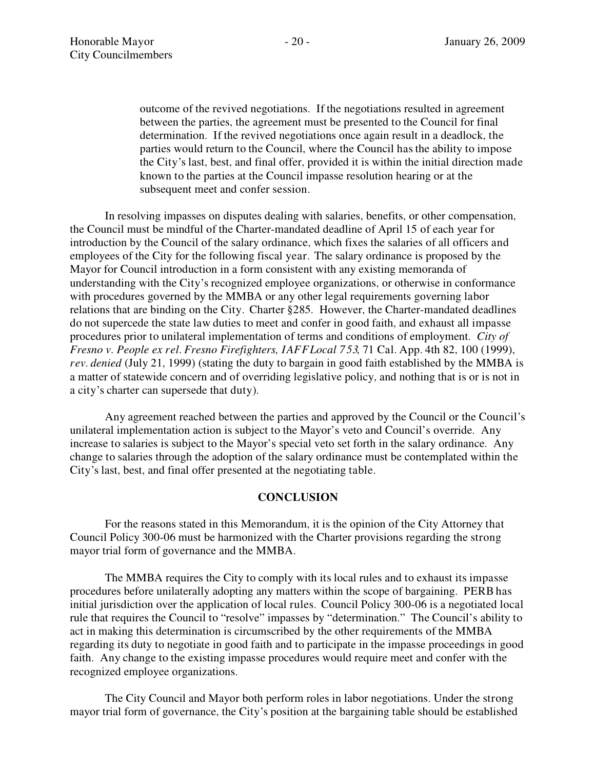outcome of the revived negotiations. If the negotiations resulted in agreement between the parties, the agreement must be presented to the Council for final determination. If the revived negotiations once again result in a deadlock, the parties would return to the Council, where the Council has the ability to impose the City's last, best, and final offer, provided it is within the initial direction made known to the parties at the Council impasse resolution hearing or at the subsequent meet and confer session.

In resolving impasses on disputes dealing with salaries, benefits, or other compensation, the Council must be mindful of the Charter-mandated deadline of April 15 of each year for introduction by the Council of the salary ordinance, which fixes the salaries of all officers and employees of the City for the following fiscal year. The salary ordinance is proposed by the Mayor for Council introduction in a form consistent with any existing memoranda of understanding with the City's recognized employee organizations, or otherwise in conformance with procedures governed by the MMBA or any other legal requirements governing labor relations that are binding on the City. Charter §285. However, the Charter-mandated deadlines do not supercede the state law duties to meet and confer in good faith, and exhaust all impasse procedures prior to unilateral implementation of terms and conditions of employment. *City of Fresno v. People ex rel. Fresno Firefighters, IAFFLocal 753*, 71 Cal. App. 4th 82, 100 (1999), *rev. denied* (July 21, 1999) (stating the duty to bargain in good faith established by the MMBA is a matter of statewide concern and of overriding legislative policy, and nothing that is or is not in a city's charter can supersede that duty).

Any agreement reached between the parties and approved by the Council or the Council's unilateral implementation action is subject to the Mayor's veto and Council's override. Any increase to salaries is subject to the Mayor's special veto set forth in the salary ordinance. Any change to salaries through the adoption of the salary ordinance must be contemplated within the City's last, best, and final offer presented at the negotiating table.

#### **CONCLUSION**

For the reasons stated in this Memorandum, it is the opinion of the City Attorney that Council Policy 300-06 must be harmonized with the Charter provisions regarding the strong mayor trial form of governance and the MMBA.

The MMBA requires the City to comply with its local rules and to exhaust its impasse procedures before unilaterally adopting any matters within the scope of bargaining. PERB has initial jurisdiction over the application of local rules. Council Policy 300-06 is a negotiated local rule that requires the Council to "resolve" impasses by "determination." The Council's ability to act in making this determination is circumscribed by the other requirements of the MMBA regarding its duty to negotiate in good faith and to participate in the impasse proceedings in good faith. Any change to the existing impasse procedures would require meet and confer with the recognized employee organizations.

The City Council and Mayor both perform roles in labor negotiations. Under the strong mayor trial form of governance, the City's position at the bargaining table should be established